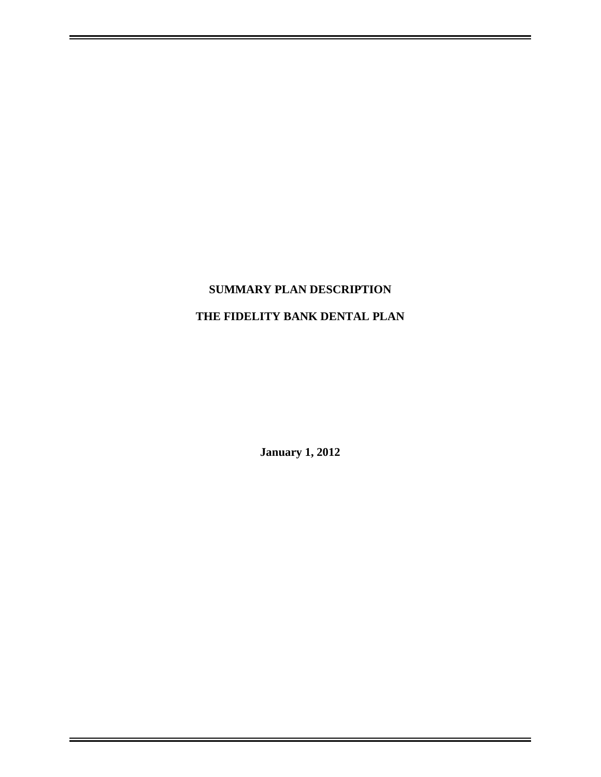# **SUMMARY PLAN DESCRIPTION**

## **THE FIDELITY BANK DENTAL PLAN**

**January 1, 2012**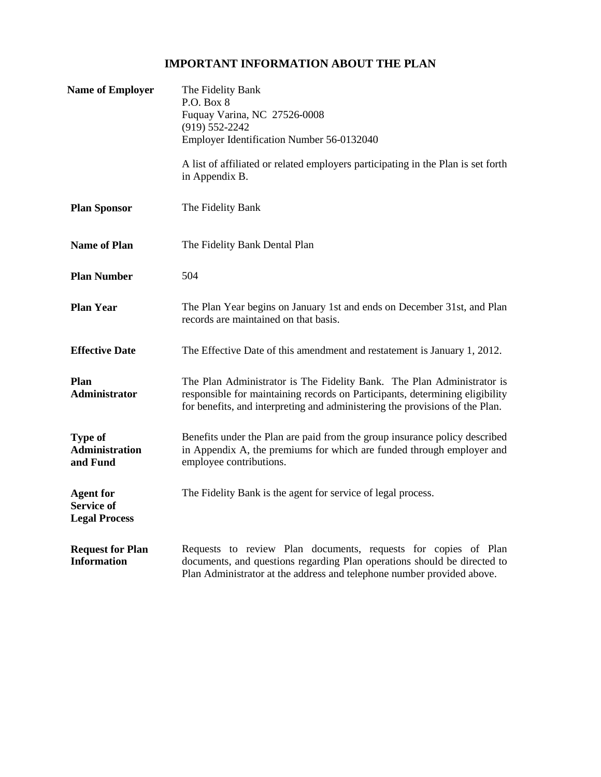## **IMPORTANT INFORMATION ABOUT THE PLAN**

| <b>Name of Employer</b>                                       | The Fidelity Bank<br>P.O. Box 8<br>Fuquay Varina, NC 27526-0008<br>$(919) 552 - 2242$<br>Employer Identification Number 56-0132040<br>A list of affiliated or related employers participating in the Plan is set forth<br>in Appendix B. |  |
|---------------------------------------------------------------|------------------------------------------------------------------------------------------------------------------------------------------------------------------------------------------------------------------------------------------|--|
|                                                               |                                                                                                                                                                                                                                          |  |
| <b>Plan Sponsor</b>                                           | The Fidelity Bank                                                                                                                                                                                                                        |  |
| <b>Name of Plan</b>                                           | The Fidelity Bank Dental Plan                                                                                                                                                                                                            |  |
| <b>Plan Number</b>                                            | 504                                                                                                                                                                                                                                      |  |
| <b>Plan Year</b>                                              | The Plan Year begins on January 1st and ends on December 31st, and Plan<br>records are maintained on that basis.                                                                                                                         |  |
| <b>Effective Date</b>                                         | The Effective Date of this amendment and restatement is January 1, 2012.                                                                                                                                                                 |  |
| Plan<br><b>Administrator</b>                                  | The Plan Administrator is The Fidelity Bank. The Plan Administrator is<br>responsible for maintaining records on Participants, determining eligibility<br>for benefits, and interpreting and administering the provisions of the Plan.   |  |
| <b>Type of</b><br><b>Administration</b><br>and Fund           | Benefits under the Plan are paid from the group insurance policy described<br>in Appendix A, the premiums for which are funded through employer and<br>employee contributions.                                                           |  |
| <b>Agent for</b><br><b>Service of</b><br><b>Legal Process</b> | The Fidelity Bank is the agent for service of legal process.                                                                                                                                                                             |  |
| <b>Request for Plan</b><br><b>Information</b>                 | Requests to review Plan documents, requests for copies of Plan<br>documents, and questions regarding Plan operations should be directed to<br>Plan Administrator at the address and telephone number provided above.                     |  |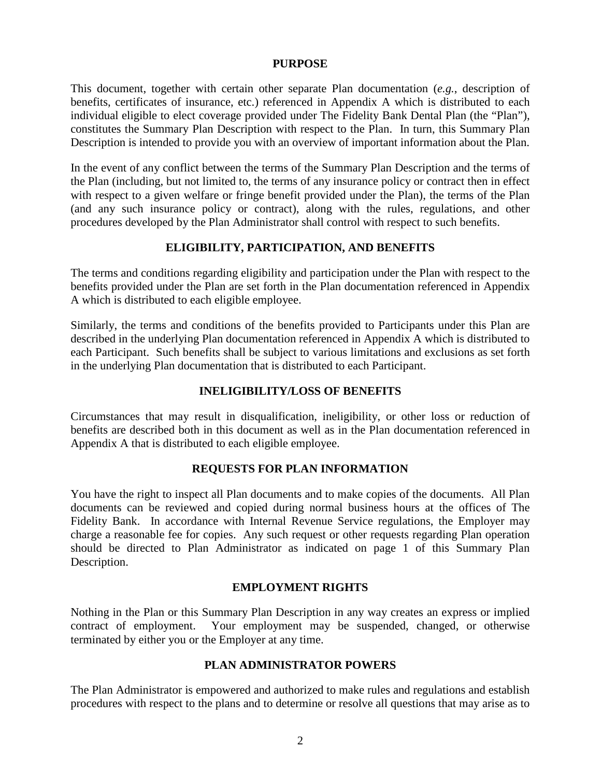#### **PURPOSE**

This document, together with certain other separate Plan documentation (*e.g.*, description of benefits, certificates of insurance, etc.) referenced in Appendix A which is distributed to each individual eligible to elect coverage provided under The Fidelity Bank Dental Plan (the "Plan"), constitutes the Summary Plan Description with respect to the Plan. In turn, this Summary Plan Description is intended to provide you with an overview of important information about the Plan.

In the event of any conflict between the terms of the Summary Plan Description and the terms of the Plan (including, but not limited to, the terms of any insurance policy or contract then in effect with respect to a given welfare or fringe benefit provided under the Plan), the terms of the Plan (and any such insurance policy or contract), along with the rules, regulations, and other procedures developed by the Plan Administrator shall control with respect to such benefits.

#### **ELIGIBILITY, PARTICIPATION, AND BENEFITS**

The terms and conditions regarding eligibility and participation under the Plan with respect to the benefits provided under the Plan are set forth in the Plan documentation referenced in Appendix A which is distributed to each eligible employee.

Similarly, the terms and conditions of the benefits provided to Participants under this Plan are described in the underlying Plan documentation referenced in Appendix A which is distributed to each Participant. Such benefits shall be subject to various limitations and exclusions as set forth in the underlying Plan documentation that is distributed to each Participant.

#### **INELIGIBILITY/LOSS OF BENEFITS**

Circumstances that may result in disqualification, ineligibility, or other loss or reduction of benefits are described both in this document as well as in the Plan documentation referenced in Appendix A that is distributed to each eligible employee.

#### **REQUESTS FOR PLAN INFORMATION**

You have the right to inspect all Plan documents and to make copies of the documents. All Plan documents can be reviewed and copied during normal business hours at the offices of The Fidelity Bank. In accordance with Internal Revenue Service regulations, the Employer may charge a reasonable fee for copies. Any such request or other requests regarding Plan operation should be directed to Plan Administrator as indicated on page 1 of this Summary Plan Description.

#### **EMPLOYMENT RIGHTS**

Nothing in the Plan or this Summary Plan Description in any way creates an express or implied contract of employment. Your employment may be suspended, changed, or otherwise terminated by either you or the Employer at any time.

#### **PLAN ADMINISTRATOR POWERS**

The Plan Administrator is empowered and authorized to make rules and regulations and establish procedures with respect to the plans and to determine or resolve all questions that may arise as to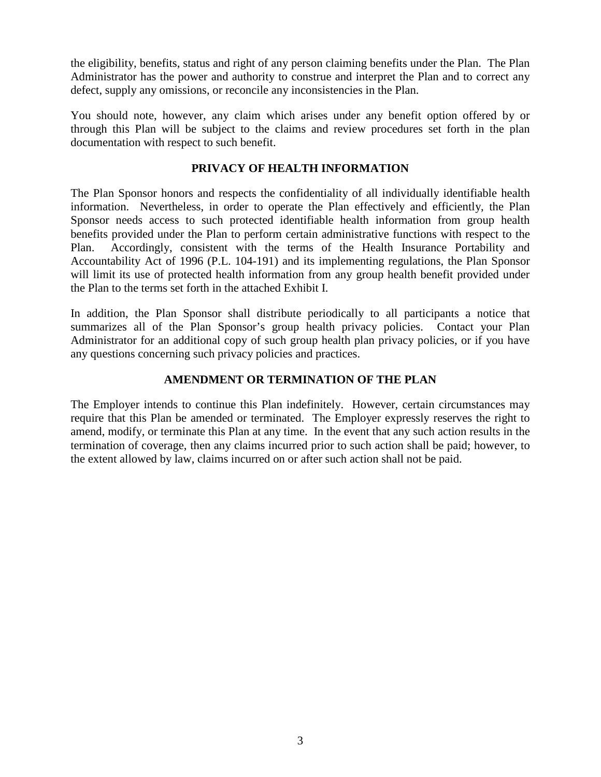the eligibility, benefits, status and right of any person claiming benefits under the Plan. The Plan Administrator has the power and authority to construe and interpret the Plan and to correct any defect, supply any omissions, or reconcile any inconsistencies in the Plan.

You should note, however, any claim which arises under any benefit option offered by or through this Plan will be subject to the claims and review procedures set forth in the plan documentation with respect to such benefit.

#### **PRIVACY OF HEALTH INFORMATION**

The Plan Sponsor honors and respects the confidentiality of all individually identifiable health information. Nevertheless, in order to operate the Plan effectively and efficiently, the Plan Sponsor needs access to such protected identifiable health information from group health benefits provided under the Plan to perform certain administrative functions with respect to the Plan. Accordingly, consistent with the terms of the Health Insurance Portability and Accountability Act of 1996 (P.L. 104-191) and its implementing regulations, the Plan Sponsor will limit its use of protected health information from any group health benefit provided under the Plan to the terms set forth in the attached Exhibit I.

In addition, the Plan Sponsor shall distribute periodically to all participants a notice that summarizes all of the Plan Sponsor's group health privacy policies. Contact your Plan Administrator for an additional copy of such group health plan privacy policies, or if you have any questions concerning such privacy policies and practices.

#### **AMENDMENT OR TERMINATION OF THE PLAN**

The Employer intends to continue this Plan indefinitely. However, certain circumstances may require that this Plan be amended or terminated. The Employer expressly reserves the right to amend, modify, or terminate this Plan at any time. In the event that any such action results in the termination of coverage, then any claims incurred prior to such action shall be paid; however, to the extent allowed by law, claims incurred on or after such action shall not be paid.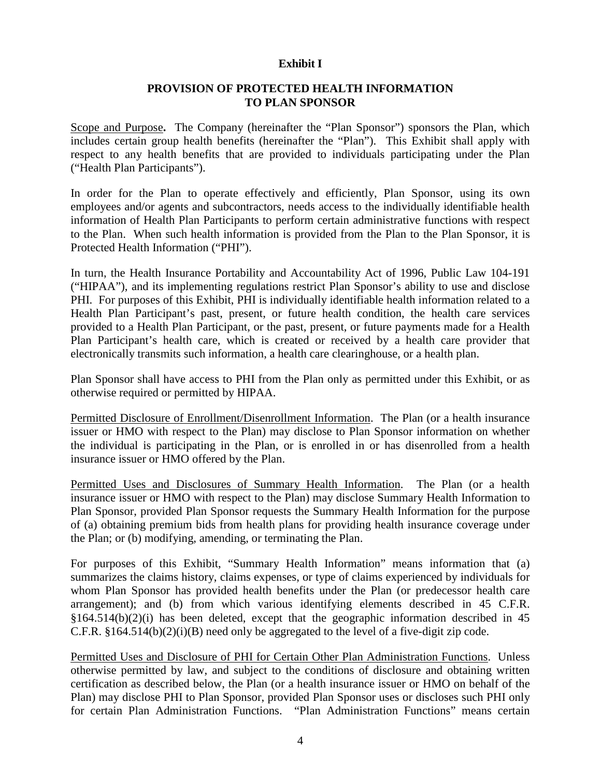#### **Exhibit I**

#### **PROVISION OF PROTECTED HEALTH INFORMATION TO PLAN SPONSOR**

Scope and Purpose**.** The Company (hereinafter the "Plan Sponsor") sponsors the Plan, which includes certain group health benefits (hereinafter the "Plan"). This Exhibit shall apply with respect to any health benefits that are provided to individuals participating under the Plan ("Health Plan Participants").

In order for the Plan to operate effectively and efficiently, Plan Sponsor, using its own employees and/or agents and subcontractors, needs access to the individually identifiable health information of Health Plan Participants to perform certain administrative functions with respect to the Plan. When such health information is provided from the Plan to the Plan Sponsor, it is Protected Health Information ("PHI").

In turn, the Health Insurance Portability and Accountability Act of 1996, Public Law 104-191 ("HIPAA"), and its implementing regulations restrict Plan Sponsor's ability to use and disclose PHI. For purposes of this Exhibit, PHI is individually identifiable health information related to a Health Plan Participant's past, present, or future health condition, the health care services provided to a Health Plan Participant, or the past, present, or future payments made for a Health Plan Participant's health care, which is created or received by a health care provider that electronically transmits such information, a health care clearinghouse, or a health plan.

Plan Sponsor shall have access to PHI from the Plan only as permitted under this Exhibit, or as otherwise required or permitted by HIPAA.

Permitted Disclosure of Enrollment/Disenrollment Information. The Plan (or a health insurance issuer or HMO with respect to the Plan) may disclose to Plan Sponsor information on whether the individual is participating in the Plan, or is enrolled in or has disenrolled from a health insurance issuer or HMO offered by the Plan.

Permitted Uses and Disclosures of Summary Health Information. The Plan (or a health insurance issuer or HMO with respect to the Plan) may disclose Summary Health Information to Plan Sponsor, provided Plan Sponsor requests the Summary Health Information for the purpose of (a) obtaining premium bids from health plans for providing health insurance coverage under the Plan; or (b) modifying, amending, or terminating the Plan.

For purposes of this Exhibit, "Summary Health Information" means information that (a) summarizes the claims history, claims expenses, or type of claims experienced by individuals for whom Plan Sponsor has provided health benefits under the Plan (or predecessor health care arrangement); and (b) from which various identifying elements described in 45 C.F.R. §164.514(b)(2)(i) has been deleted, except that the geographic information described in 45 C.F.R. §164.514(b)(2)(i)(B) need only be aggregated to the level of a five-digit zip code.

Permitted Uses and Disclosure of PHI for Certain Other Plan Administration Functions. Unless otherwise permitted by law, and subject to the conditions of disclosure and obtaining written certification as described below, the Plan (or a health insurance issuer or HMO on behalf of the Plan) may disclose PHI to Plan Sponsor, provided Plan Sponsor uses or discloses such PHI only for certain Plan Administration Functions. "Plan Administration Functions" means certain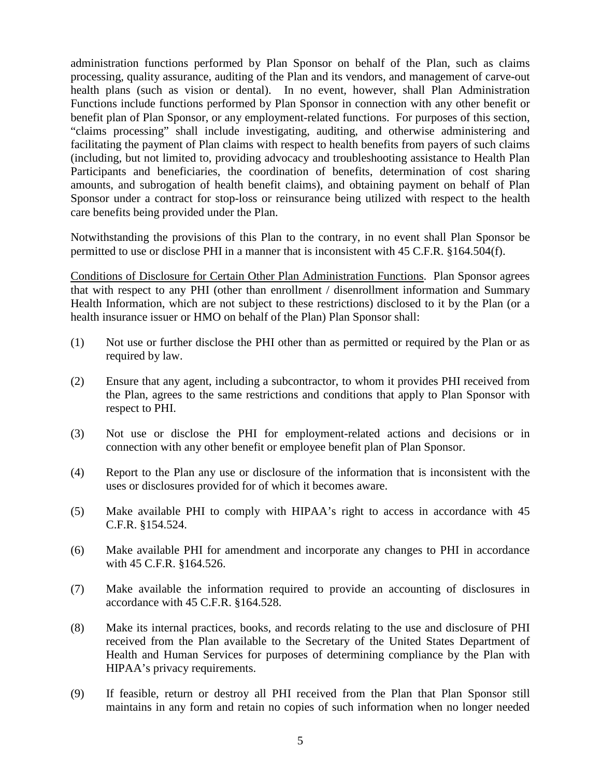administration functions performed by Plan Sponsor on behalf of the Plan, such as claims processing, quality assurance, auditing of the Plan and its vendors, and management of carve-out health plans (such as vision or dental). In no event, however, shall Plan Administration Functions include functions performed by Plan Sponsor in connection with any other benefit or benefit plan of Plan Sponsor, or any employment-related functions. For purposes of this section, "claims processing" shall include investigating, auditing, and otherwise administering and facilitating the payment of Plan claims with respect to health benefits from payers of such claims (including, but not limited to, providing advocacy and troubleshooting assistance to Health Plan Participants and beneficiaries, the coordination of benefits, determination of cost sharing amounts, and subrogation of health benefit claims), and obtaining payment on behalf of Plan Sponsor under a contract for stop-loss or reinsurance being utilized with respect to the health care benefits being provided under the Plan.

Notwithstanding the provisions of this Plan to the contrary, in no event shall Plan Sponsor be permitted to use or disclose PHI in a manner that is inconsistent with 45 C.F.R. §164.504(f).

Conditions of Disclosure for Certain Other Plan Administration Functions. Plan Sponsor agrees that with respect to any PHI (other than enrollment / disenrollment information and Summary Health Information, which are not subject to these restrictions) disclosed to it by the Plan (or a health insurance issuer or HMO on behalf of the Plan) Plan Sponsor shall:

- (1) Not use or further disclose the PHI other than as permitted or required by the Plan or as required by law.
- (2) Ensure that any agent, including a subcontractor, to whom it provides PHI received from the Plan, agrees to the same restrictions and conditions that apply to Plan Sponsor with respect to PHI.
- (3) Not use or disclose the PHI for employment-related actions and decisions or in connection with any other benefit or employee benefit plan of Plan Sponsor.
- (4) Report to the Plan any use or disclosure of the information that is inconsistent with the uses or disclosures provided for of which it becomes aware.
- (5) Make available PHI to comply with HIPAA's right to access in accordance with 45 C.F.R. §154.524.
- (6) Make available PHI for amendment and incorporate any changes to PHI in accordance with 45 C.F.R. §164.526.
- (7) Make available the information required to provide an accounting of disclosures in accordance with 45 C.F.R. §164.528.
- (8) Make its internal practices, books, and records relating to the use and disclosure of PHI received from the Plan available to the Secretary of the United States Department of Health and Human Services for purposes of determining compliance by the Plan with HIPAA's privacy requirements.
- (9) If feasible, return or destroy all PHI received from the Plan that Plan Sponsor still maintains in any form and retain no copies of such information when no longer needed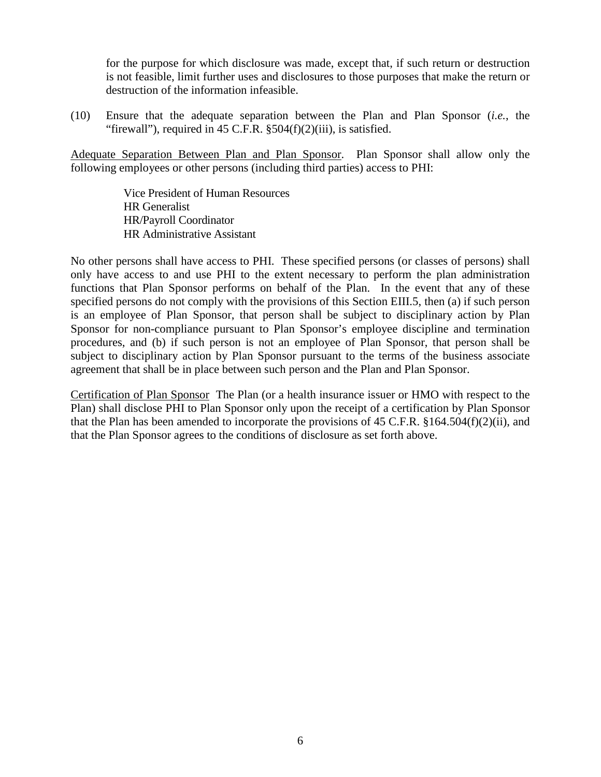for the purpose for which disclosure was made, except that, if such return or destruction is not feasible, limit further uses and disclosures to those purposes that make the return or destruction of the information infeasible.

(10) Ensure that the adequate separation between the Plan and Plan Sponsor (*i.e.*, the "firewall"), required in  $45$  C.F.R.  $\S 504(f)(2)(iii)$ , is satisfied.

Adequate Separation Between Plan and Plan Sponsor. Plan Sponsor shall allow only the following employees or other persons (including third parties) access to PHI:

> Vice President of Human Resources HR Generalist HR/Payroll Coordinator HR Administrative Assistant

No other persons shall have access to PHI. These specified persons (or classes of persons) shall only have access to and use PHI to the extent necessary to perform the plan administration functions that Plan Sponsor performs on behalf of the Plan. In the event that any of these specified persons do not comply with the provisions of this Section EIII.5, then (a) if such person is an employee of Plan Sponsor, that person shall be subject to disciplinary action by Plan Sponsor for non-compliance pursuant to Plan Sponsor's employee discipline and termination procedures, and (b) if such person is not an employee of Plan Sponsor, that person shall be subject to disciplinary action by Plan Sponsor pursuant to the terms of the business associate agreement that shall be in place between such person and the Plan and Plan Sponsor.

Certification of Plan Sponsor The Plan (or a health insurance issuer or HMO with respect to the Plan) shall disclose PHI to Plan Sponsor only upon the receipt of a certification by Plan Sponsor that the Plan has been amended to incorporate the provisions of 45 C.F.R. §164.504(f)(2)(ii), and that the Plan Sponsor agrees to the conditions of disclosure as set forth above.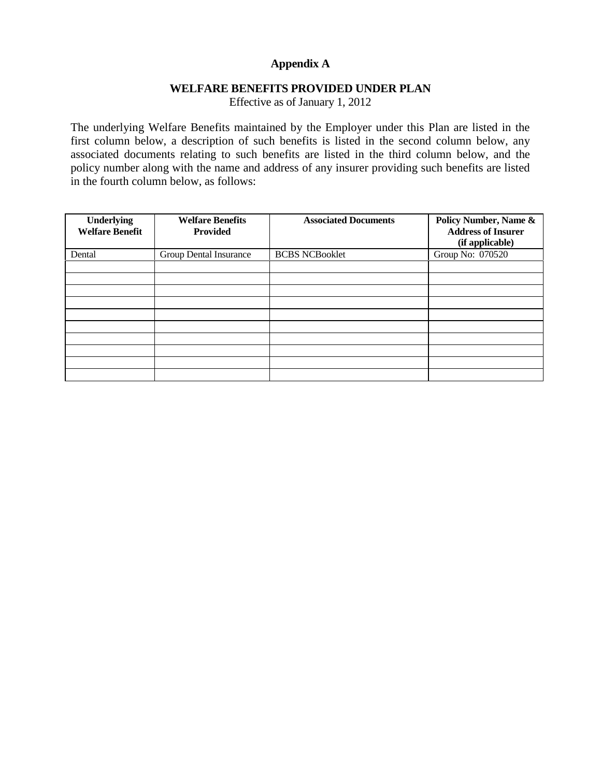### **Appendix A**

#### **WELFARE BENEFITS PROVIDED UNDER PLAN**

Effective as of January 1, 2012

The underlying Welfare Benefits maintained by the Employer under this Plan are listed in the first column below, a description of such benefits is listed in the second column below, any associated documents relating to such benefits are listed in the third column below, and the policy number along with the name and address of any insurer providing such benefits are listed in the fourth column below, as follows:

| <b>Underlying</b><br><b>Welfare Benefit</b> | <b>Welfare Benefits</b><br><b>Provided</b> | <b>Associated Documents</b> | Policy Number, Name &<br><b>Address of Insurer</b><br>(if applicable) |
|---------------------------------------------|--------------------------------------------|-----------------------------|-----------------------------------------------------------------------|
| Dental                                      | Group Dental Insurance                     | <b>BCBS NCBooklet</b>       | Group No: 070520                                                      |
|                                             |                                            |                             |                                                                       |
|                                             |                                            |                             |                                                                       |
|                                             |                                            |                             |                                                                       |
|                                             |                                            |                             |                                                                       |
|                                             |                                            |                             |                                                                       |
|                                             |                                            |                             |                                                                       |
|                                             |                                            |                             |                                                                       |
|                                             |                                            |                             |                                                                       |
|                                             |                                            |                             |                                                                       |
|                                             |                                            |                             |                                                                       |